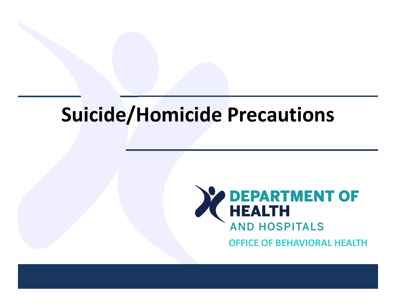# **Suicide/Homicide Precautions**



**OFFICE OF BEHAVIORAL HEALTH**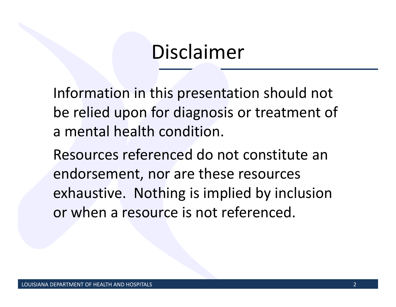### Disclaimer

Information in this presentation should not be relied upon for diagnosis or treatment of a mental health condition.

Resources referenced do not constitute an endorsement, nor are these resources exhaustive. Nothing is implied by inclusion or when <sup>a</sup> resource is not referenced.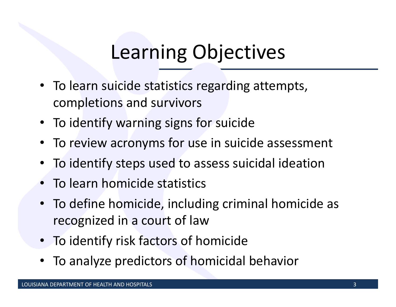# Learning Objectives

- To learn suicide statistics regarding attempts, completions and survivors
- To identify warning signs for suicide
- To review acronyms for use in suicide assessment
- To identify steps used to assess suicidal ideation
- •• To learn homicide statistics
- To define homicide, including criminal homicide as recognized in <sup>a</sup> court of law
- To identify risk factors of homicide
- •To analyze predictors of homicidal behavior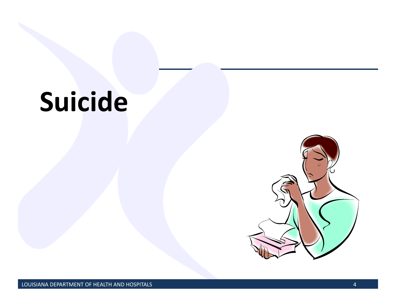# **Suicide**

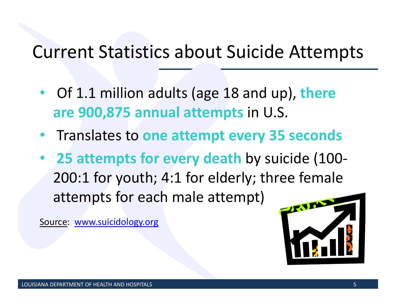#### Current Statistics about Suicide Attempts

- $\bullet$  Of 1.1 million adults (age 18 and up), **there are 900,875 annual attempts** in U.S.
- •Translates to **one attempt every 35 seconds**
- • **25 attempts for every death** by suicide (100‐ 200:1 for youth; 4:1 for elderly; three female attempts for each male attempt)

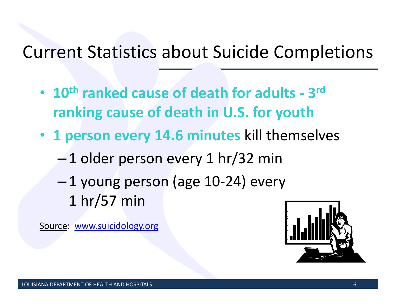#### Current Statistics about Suicide Completions

- **10th ranked cause of death for adults ‐ 3r<sup>d</sup> ranking cause of death in U.S. for youth**
- **1 person every 14.6 minutes** kill themselves
	- – $-1$  older person every 1 hr/32 min
	- – 1 young person (age 10‐24) every 1 hr/57 min

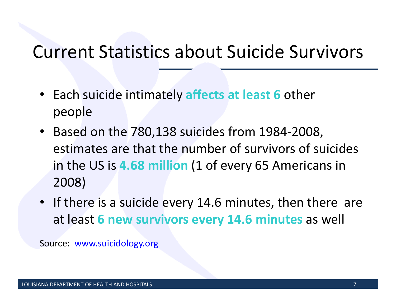#### Current Statistics about Suicide Survivors

- Each suicide intimately **affects at least 6** other people
- Based on the 780,138 suicides from 1984‐2008, estimates are that the number of survivors of suicides in the US is **4.68 million** (1 of every 65 Americans in 2008)
- If there is <sup>a</sup> suicide every 14.6 minutes, then there are at least **6 new survivors every 14.6 minutes** as well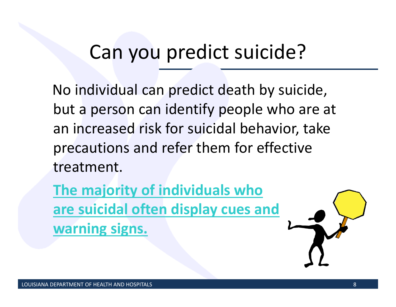# Can you predict suicide?

No individual can predict death by suicide, but a person can identify people who are at an increased risk for suicidal behavior, take precautions and refer them for effective treatment.

**The majority of individuals who are suicidal often display cues and warning signs.**

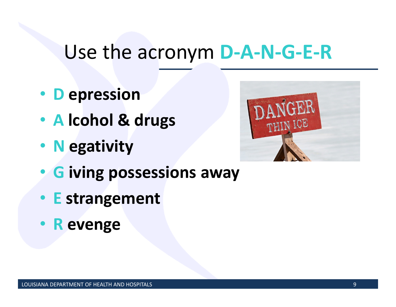#### Use the acronym **D‐A‐N‐G‐E‐R**

- **D epression**
- **A lcohol & drugs**
- **N egativity**
- **G iving possessions away**
- **E strangement**
- **R evenge**

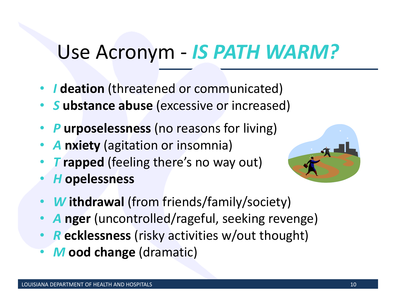## Use Acronym ‐ *IS PATH WARM?*

- *I* **deation** (threatened or communicated)
- *S* **ubstance abuse** (excessive or increased)
- •*P* **urposelessness** (no reasons for living)
- •*A* **nxiety** (agitation or insomnia)
- •*T* **rapped** (feeling there's no way out)
- •*H* **opelessness**



- •*W* **ithdrawal** (from friends/family/society)
- •*A* **nger** (uncontrolled/rageful, seeking revenge)
- •*R* **ecklessness** (risky activities w/out thought)
- •*M* **ood change** (dramatic)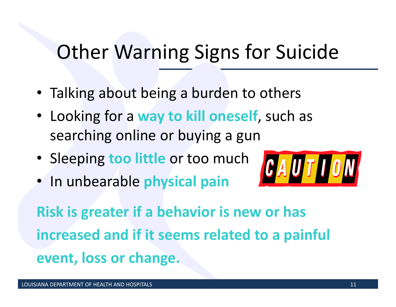# Other Warning Signs for Suicide

- Talking about being <sup>a</sup> burden to others
- Looking for <sup>a</sup> **way to kill oneself**, such as searching online or buying <sup>a</sup> gun
- Sleeping **too little** or too much
- In unbearable **physical pain**



**Risk is greater if <sup>a</sup> behavior is new or has increased and if it seems related to <sup>a</sup> painful event, loss or change.**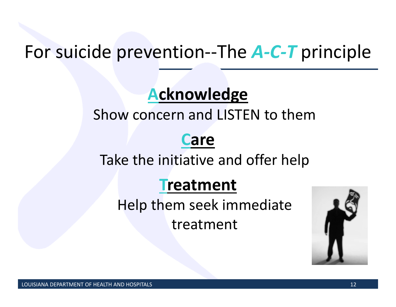#### For suicide prevention‐‐The *A‐C‐T* principle

#### **Acknowledge**

#### Show concern and LISTEN to them

#### **Care**

#### Take the initiative and offer help

#### **Treatment**

Help them seek immediate treatment

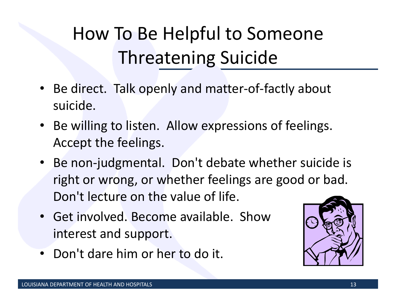# How To Be Helpful to Someone Threatening Suicide

- Be direct. Talk openly and matter‐of‐factly about suicide.
- Be willing to listen. Allow expressions of feelings. Accept the feelings.
- Be non‐judgmental. Don't debate whether suicide is right or wrong, or whether feelings are good or bad. Don't lecture on the value of life.
- Get involved. Become available. Showinterest and support.
- Don't dare him or her to do it.

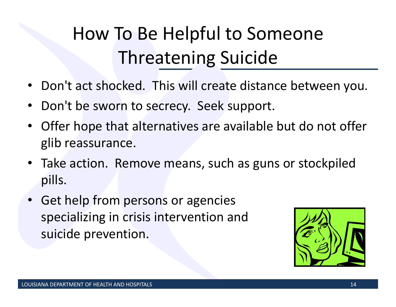# How To Be Helpful to Someone Threatening Suicide

- Don't act shocked. This will create distance between you.
- $\bullet$ • Don't be sworn to secrecy. Seek support.
- $\bullet$  Offer hope that alternatives are available but do not offer glib reassurance.
- Take action. Remove means, such as guns or stockpiled pills.
- Get help from persons or agencies specializing in crisis intervention and suicide prevention.

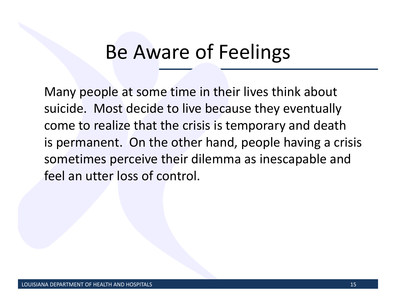### Be Aware of Feelings

Many people at some time in their lives think about suicide. Most decide to live because they eventually come to realize that the crisis is temporary and death is permanent. On the other hand, people having <sup>a</sup> crisis sometimes perceive their dilemma as inescapable and feel an utter loss of control.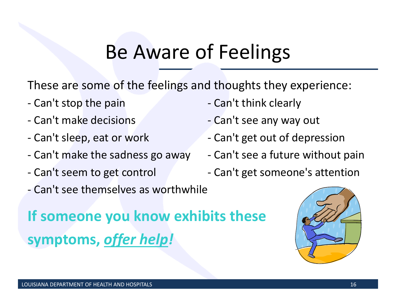### Be Aware of Feelings

These are some of the feelings and thoughts they experience:

- ‐ Can't
- ‐ Can't make
- ‐ Can't
- ‐ Can't make
- ‐ Can't seem
- ‐ Can't see themselves as worthwhile
- Can't think clearly
- Can't see any way out
- Can't get out of depression
- Can't see a future without pain
- Can't get someone's attention

**If someone you know exhibits these symptoms,** *offer help!*

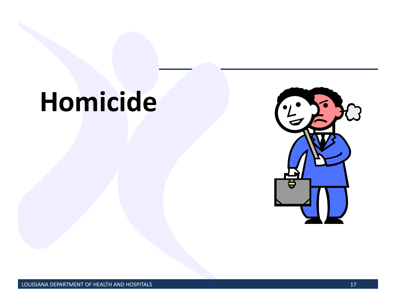# **Homicide**

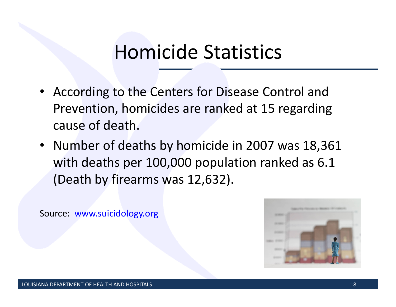### Homicide Statistics

- According to the Centers for Disease Control and Prevention, homicides are ranked at 15 regarding cause of death.
- Number of deaths by homicide in 2007 was 18,361 with deaths per 100,000 population ranked as 6.1 (Death by firearms was 12,632).

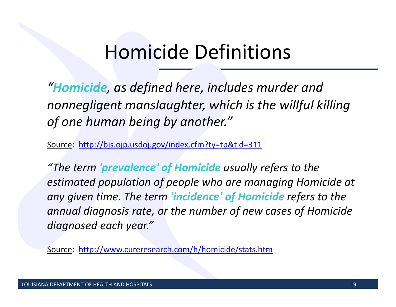### Homicide Definitions

*"Homicide, as defined here, includes murder and nonnegligent manslaughter, which is the willful killing of one human being by another."*

Source: http://bjs.ojp.usdoj.gov/index.cfm?ty=tp&tid=311

*"The term 'prevalence' of Homicide usually refers to the estimated population of people who are managing Homicide at any given time. The term 'incidence' of Homicide refers to the annual diagnosis rate, or the number of new cases of Homicide diagnosed each year."*

Source: http://www.cureresearch.com/h/homicide/stats.htm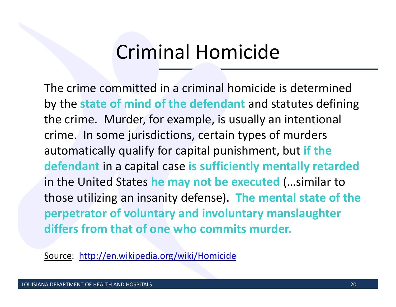### Criminal Homicide

The crime committed in <sup>a</sup> criminal homicide is determined by the **state of mind of the defendant** and statutes defining the crime. Murder, for example, is usually an intentional crime. In some jurisdictions, certain types of murders automatically qualify for capital punishment, but **if the defendant** in <sup>a</sup> capital case **is sufficiently mentally retarded** in the United States **he may not be executed** (…similar to those utilizing an insanity defense). **The mental state of the perpetrator of voluntary and involuntary manslaughter differs from that of one who commits murder.**

Source: http://en.wikipedia.org/wiki/Homicide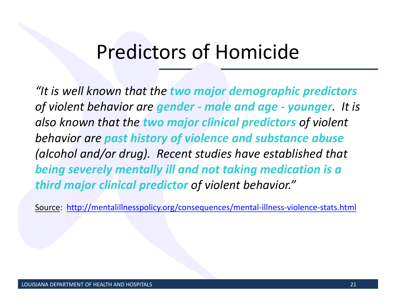### Predictors of Homicide

*"It is well known that the two major demographic predictors of violent behavior are gender ‐ male and age ‐ younger. It is also known that the two major clinical predictors of violent behavior are past history of violence and substance abuse (alcohol and/or drug). Recent studies have established that being severely mentally ill and not taking medication is <sup>a</sup> third major clinical predictor of violent behavior."*

Source: http://mentalillnesspolicy.org/consequences/mental‐illness‐violence‐stats.html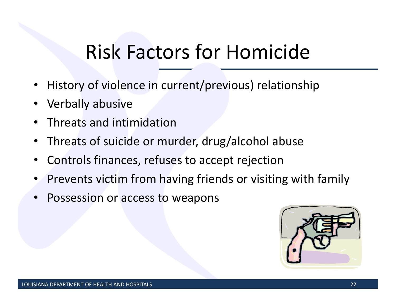# Risk Factors for Homicide

- •History of violence in current/previous) relationship
- •Verbally abusive
- •• Threats and intimidation
- •Threats of suicide or murder, drug/alcohol abuse
- •Controls finances, refuses to accept rejection
- •• Prevents victim from having friends or visiting with family
- •• Possession or access to weapons

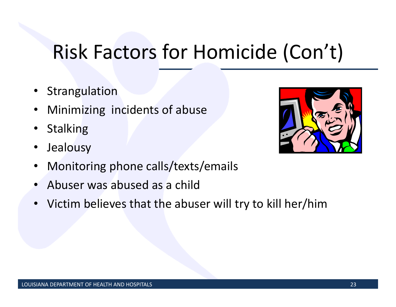# Risk Factors for Homicide (Con't)

- Strangulation
- •Minimizing incidents of abuse
- •**Stalking**
- •Jealousy
- •Monitoring phone calls/texts/emails
- •Abuser was abused as <sup>a</sup> child
- Victim believes that the abuser will try to kill her/him

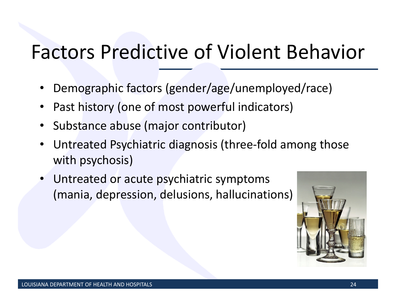# Factors Predictive of Violent Behavior

- •Demographic factors (gender/age/unemployed/race)
- •Past history (one of most powerful indicators)
- •• Substance abuse (major contributor)
- • Untreated Psychiatric diagnosis (three‐fold among those with psychosis)
- • Untreated or acute psychiatric symptoms (mania, depression, delusions, hallucinations)

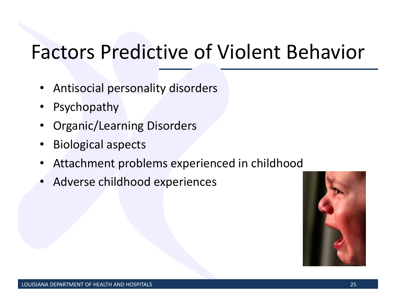# Factors Predictive of Violent Behavior

- Antisocial personality disorders
- •Psychopathy
- •Organic/Learning Disorders
- •Biological aspects
- •Attachment problems experienced in childhood
- •Adverse childhood experiences

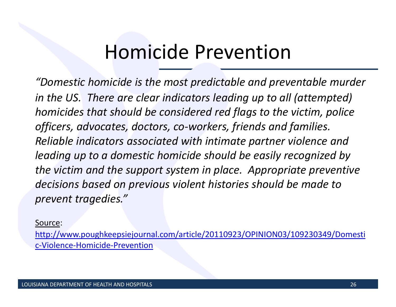### Homicide Prevention

*"Domestic homicide is the most predictable and preventable murder in the US. There are clear indicators leading up to all (attempted) homicides that should be considered red flags to the victim, police officers, advocates, doctors, co‐workers, friends and families. Reliable indicators associated with intimate partner violence and leading up to <sup>a</sup> domestic homicide should be easily recognized by the victim and the support system in place. Appropriate preventive decisions based on previous violent histories should be made to prevent tragedies."*

Source:

http://www.poughkeepsiejournal.com/article/20110923/OPINION03/109230349/Domesti <sup>c</sup>‐Violence‐Homicide‐Prevention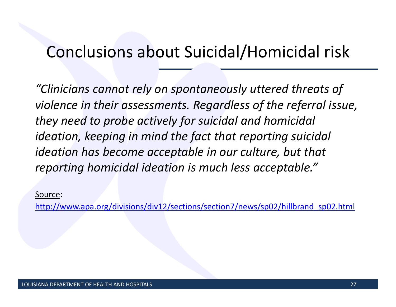#### Conclusions about Suicidal/Homicidal risk

*"Clinicians cannot rely on spontaneously uttered threats of violence in their assessments. Regardless of the referral issue, they need to probe actively for suicidal and homicidal ideation, keeping in mind the fact that reporting suicidal ideation has become acceptable in our culture, but that reporting homicidal ideation is much less acceptable."*

Source:

http://www.apa.org/divisions/div12/sections/section7/news/sp02/hillbrand\_sp02.html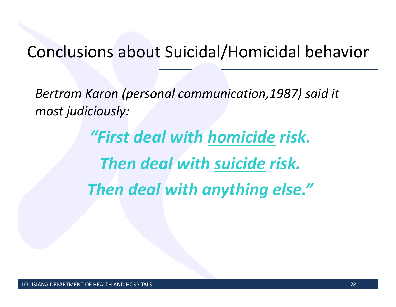#### Conclusions about Suicidal/Homicidal behavior

*Bertram Karon (personal communication,1987) said it most judiciously:*

> *"First deal with homicide risk. Then deal with suicide risk. Then deal with anything else."*